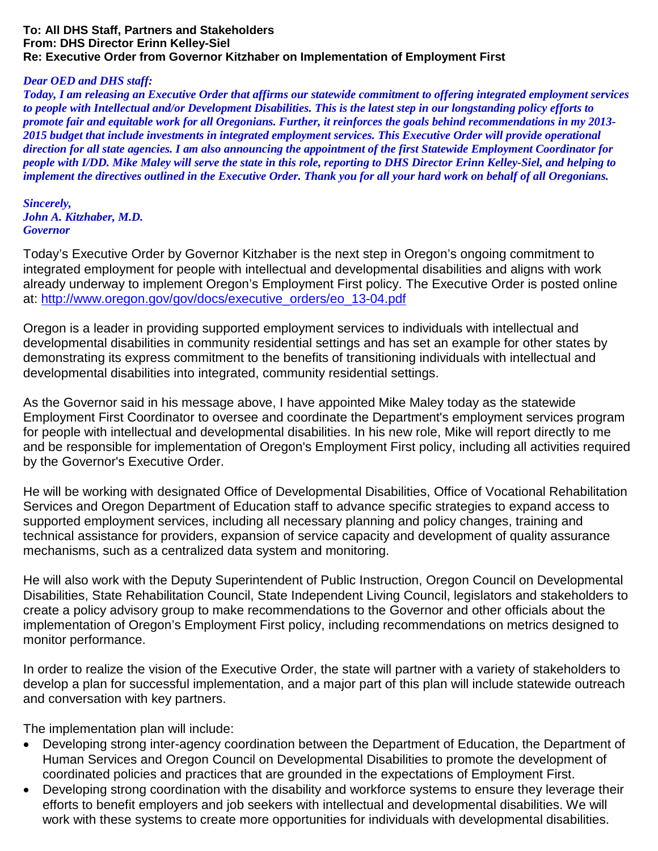## **To: All DHS Staff, Partners and Stakeholders From: DHS Director Erinn Kelley-Siel Re: Executive Order from Governor Kitzhaber on Implementation of Employment First**

## *Dear OED and DHS staff:*

*Today, I am releasing an Executive Order that affirms our statewide commitment to offering integrated employment services to people with Intellectual and/or Development Disabilities. This is the latest step in our longstanding policy efforts to promote fair and equitable work for all Oregonians. Further, it reinforces the goals behind recommendations in my 2013- 2015 budget that include investments in integrated employment services. This Executive Order will provide operational direction for all state agencies. I am also announcing the appointment of the first Statewide Employment Coordinator for people with I/DD. Mike Maley will serve the state in this role, reporting to DHS Director Erinn Kelley-Siel, and helping to implement the directives outlined in the Executive Order. Thank you for all your hard work on behalf of all Oregonians.*

*Sincerely, John A. Kitzhaber, M.D. Governor* 

Today's Executive Order by Governor Kitzhaber is the next step in Oregon's ongoing commitment to integrated employment for people with intellectual and developmental disabilities and aligns with work already underway to implement Oregon's Employment First policy. The Executive Order is posted online at: [http://www.oregon.gov/gov/docs/executive\\_orders/eo\\_13-04.pdf](http://www.oregon.gov/gov/docs/executive_orders/eo_13-04.pdf)

Oregon is a leader in providing supported employment services to individuals with intellectual and developmental disabilities in community residential settings and has set an example for other states by demonstrating its express commitment to the benefits of transitioning individuals with intellectual and developmental disabilities into integrated, community residential settings.

As the Governor said in his message above, I have appointed Mike Maley today as the statewide Employment First Coordinator to oversee and coordinate the Department's employment services program for people with intellectual and developmental disabilities. In his new role, Mike will report directly to me and be responsible for implementation of Oregon's Employment First policy, including all activities required by the Governor's Executive Order.

He will be working with designated Office of Developmental Disabilities, Office of Vocational Rehabilitation Services and Oregon Department of Education staff to advance specific strategies to expand access to supported employment services, including all necessary planning and policy changes, training and technical assistance for providers, expansion of service capacity and development of quality assurance mechanisms, such as a centralized data system and monitoring.

He will also work with the Deputy Superintendent of Public Instruction, Oregon Council on Developmental Disabilities, State Rehabilitation Council, State Independent Living Council, legislators and stakeholders to create a policy advisory group to make recommendations to the Governor and other officials about the implementation of Oregon's Employment First policy, including recommendations on metrics designed to monitor performance.

In order to realize the vision of the Executive Order, the state will partner with a variety of stakeholders to develop a plan for successful implementation, and a major part of this plan will include statewide outreach and conversation with key partners.

The implementation plan will include:

- Developing strong inter-agency coordination between the Department of Education, the Department of Human Services and Oregon Council on Developmental Disabilities to promote the development of coordinated policies and practices that are grounded in the expectations of Employment First.
- Developing strong coordination with the disability and workforce systems to ensure they leverage their efforts to benefit employers and job seekers with intellectual and developmental disabilities. We will work with these systems to create more opportunities for individuals with developmental disabilities.